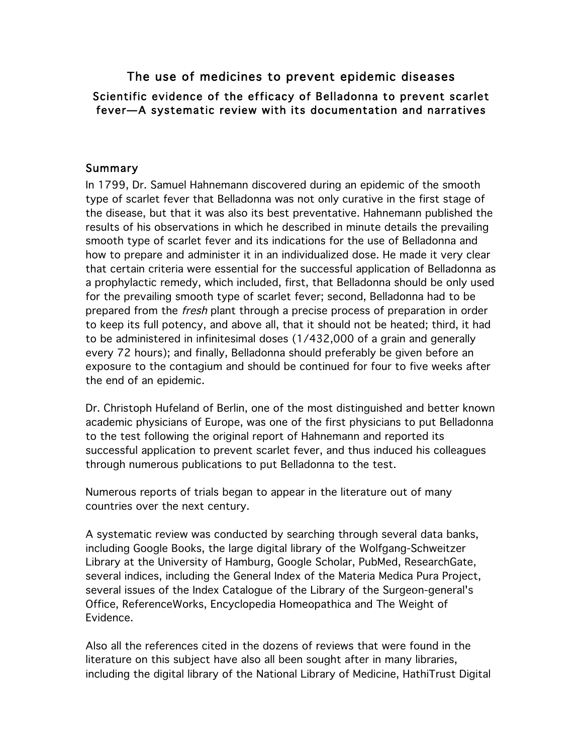## The use of medicines to prevent epidemic diseases Scientific evidence of the efficacy of Belladonna to prevent scarlet fever—A systematic review with its documentation and narratives

## Summary

In 1799, Dr. Samuel Hahnemann discovered during an epidemic of the smooth type of scarlet fever that Belladonna was not only curative in the first stage of the disease, but that it was also its best preventative. Hahnemann published the results of his observations in which he described in minute details the prevailing smooth type of scarlet fever and its indications for the use of Belladonna and how to prepare and administer it in an individualized dose. He made it very clear that certain criteria were essential for the successful application of Belladonna as a prophylactic remedy, which included, first, that Belladonna should be only used for the prevailing smooth type of scarlet fever; second, Belladonna had to be prepared from the *fresh* plant through a precise process of preparation in order to keep its full potency, and above all, that it should not be heated; third, it had to be administered in infinitesimal doses (1/432,000 of a grain and generally every 72 hours); and finally, Belladonna should preferably be given before an exposure to the contagium and should be continued for four to five weeks after the end of an epidemic.

Dr. Christoph Hufeland of Berlin, one of the most distinguished and better known academic physicians of Europe, was one of the first physicians to put Belladonna to the test following the original report of Hahnemann and reported its successful application to prevent scarlet fever, and thus induced his colleagues through numerous publications to put Belladonna to the test.

Numerous reports of trials began to appear in the literature out of many countries over the next century.

A systematic review was conducted by searching through several data banks, including Google Books, the large digital library of the Wolfgang-Schweitzer Library at the University of Hamburg, Google Scholar, PubMed, ResearchGate, several indices, including the General Index of the Materia Medica Pura Project, several issues of the Index Catalogue of the Library of the Surgeon-general's Office, ReferenceWorks, Encyclopedia Homeopathica and The Weight of Evidence.

Also all the references cited in the dozens of reviews that were found in the literature on this subject have also all been sought after in many libraries, including the digital library of the National Library of Medicine, HathiTrust Digital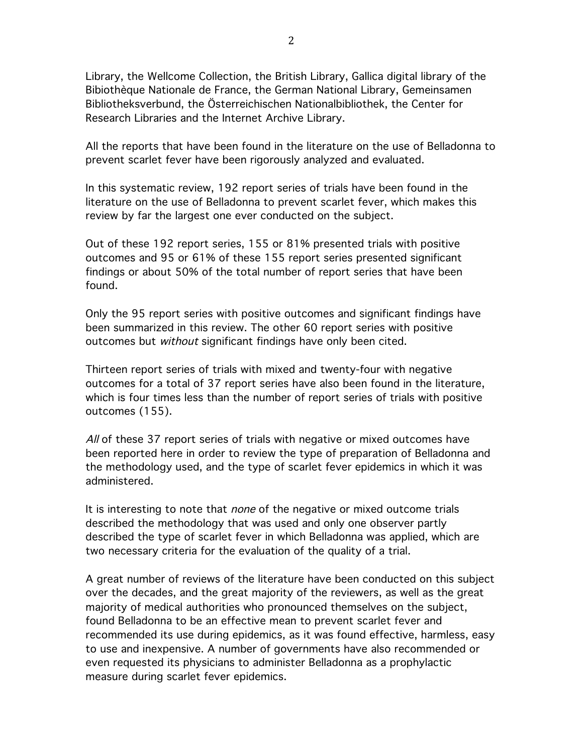Library, the Wellcome Collection, the British Library, Gallica digital library of the Bibiothèque Nationale de France, the German National Library, Gemeinsamen Bibliotheksverbund, the Österreichischen Nationalbibliothek, the Center for Research Libraries and the Internet Archive Library.

All the reports that have been found in the literature on the use of Belladonna to prevent scarlet fever have been rigorously analyzed and evaluated.

In this systematic review, 192 report series of trials have been found in the literature on the use of Belladonna to prevent scarlet fever, which makes this review by far the largest one ever conducted on the subject.

Out of these 192 report series, 155 or 81% presented trials with positive outcomes and 95 or 61% of these 155 report series presented significant findings or about 50% of the total number of report series that have been found.

Only the 95 report series with positive outcomes and significant findings have been summarized in this review. The other 60 report series with positive outcomes but *without* significant findings have only been cited.

Thirteen report series of trials with mixed and twenty-four with negative outcomes for a total of 37 report series have also been found in the literature, which is four times less than the number of report series of trials with positive outcomes (155).

All of these 37 report series of trials with negative or mixed outcomes have been reported here in order to review the type of preparation of Belladonna and the methodology used, and the type of scarlet fever epidemics in which it was administered.

It is interesting to note that *none* of the negative or mixed outcome trials described the methodology that was used and only one observer partly described the type of scarlet fever in which Belladonna was applied, which are two necessary criteria for the evaluation of the quality of a trial.

A great number of reviews of the literature have been conducted on this subject over the decades, and the great majority of the reviewers, as well as the great majority of medical authorities who pronounced themselves on the subject, found Belladonna to be an effective mean to prevent scarlet fever and recommended its use during epidemics, as it was found effective, harmless, easy to use and inexpensive. A number of governments have also recommended or even requested its physicians to administer Belladonna as a prophylactic measure during scarlet fever epidemics.